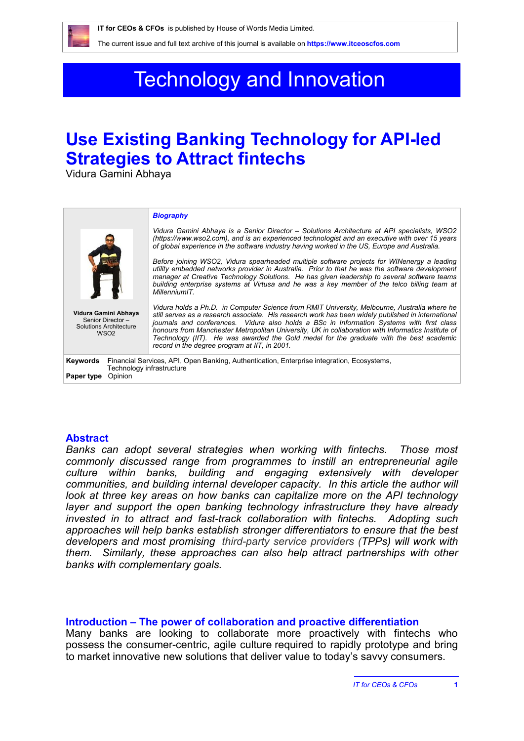# Technology and Innovation

## **Use Existing Banking Technology for API-led Strategies to Attract fintechs**

Vidura Gamini Abhaya

|                                                                                               |                                                                                                                         | <b>Biography</b>                                                                                                                                                                                                                                                                                                                                                                                                                                                                                                                                  |
|-----------------------------------------------------------------------------------------------|-------------------------------------------------------------------------------------------------------------------------|---------------------------------------------------------------------------------------------------------------------------------------------------------------------------------------------------------------------------------------------------------------------------------------------------------------------------------------------------------------------------------------------------------------------------------------------------------------------------------------------------------------------------------------------------|
|                                                                                               |                                                                                                                         | Vidura Gamini Abhaya is a Senior Director – Solutions Architecture at API specialists, WSO2<br>(https://www.wso2.com), and is an experienced technologist and an executive with over 15 years<br>of global experience in the software industry having worked in the US. Europe and Australia.                                                                                                                                                                                                                                                     |
|                                                                                               |                                                                                                                         | Before joining WSO2, Vidura spearheaded multiple software projects for WINenergy a leading<br>utility embedded networks provider in Australia. Prior to that he was the software development<br>manager at Creative Technology Solutions. He has given leadership to several software teams<br>building enterprise systems at Virtusa and he was a key member of the telco billing team at<br>MillenniumIT.                                                                                                                                       |
| Vidura Gamini Abhaya<br>Senior Director-<br><b>Solutions Architecture</b><br>WSO <sub>2</sub> |                                                                                                                         | Vidura holds a Ph.D. in Computer Science from RMIT University, Melbourne, Australia where he<br>still serves as a research associate. His research work has been widely published in international<br>journals and conferences. Vidura also holds a BSc in Information Systems with first class<br>honours from Manchester Metropolitan University, UK in collaboration with Informatics Institute of<br>Technology (IIT). He was awarded the Gold medal for the graduate with the best academic<br>record in the degree program at IIT, in 2001. |
| Keywords                                                                                      | Financial Services, API, Open Banking, Authentication, Enterprise integration, Ecosystems,<br>Technology infrastructure |                                                                                                                                                                                                                                                                                                                                                                                                                                                                                                                                                   |
| Paper type                                                                                    | Opinion                                                                                                                 |                                                                                                                                                                                                                                                                                                                                                                                                                                                                                                                                                   |

#### **Abstract**

*Banks can adopt several strategies when working with fintechs. Those most commonly discussed range from programmes to instill an entrepreneurial agile culture within banks, building and engaging extensively with developer communities, and building internal developer capacity. In this article the author will look at three key areas on how banks can capitalize more on the API technology layer and support the open banking technology infrastructure they have already invested in to attract and fast-track collaboration with fintechs. Adopting such approaches will help banks establish stronger differentiators to ensure that the best developers and most promising third-party service providers (TPPs) will work with them. Similarly, these approaches can also help attract partnerships with other banks with complementary goals.* 

#### **Introduction – The power of collaboration and proactive differentiation**

Many banks are looking to collaborate more proactively with fintechs who possess the consumer-centric, agile culture required to rapidly prototype and bring to market innovative new solutions that deliver value to today's savvy consumers.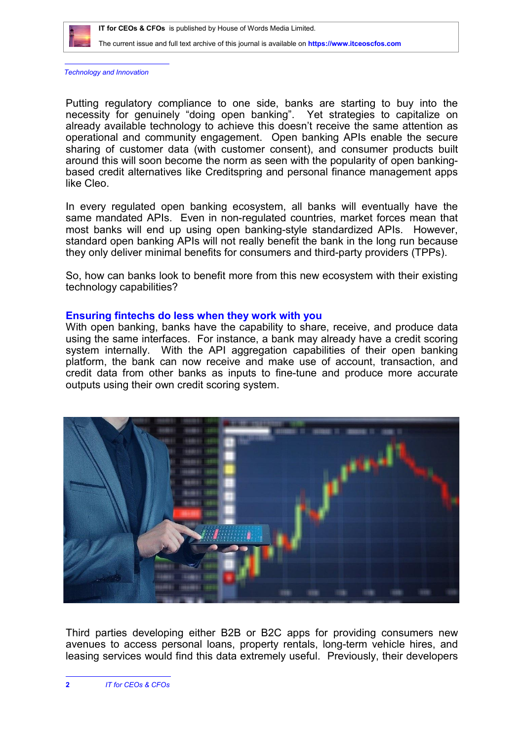

*Technology and Innovation*

Putting regulatory compliance to one side, banks are starting to buy into the necessity for genuinely "doing open banking". Yet strategies to capitalize on already available technology to achieve this doesn't receive the same attention as operational and community engagement. Open banking APIs enable the secure sharing of customer data (with customer consent), and consumer products built around this will soon become the norm as seen with the popularity of open bankingbased credit alternatives like Creditspring and personal finance management apps like Cleo.

In every regulated open banking ecosystem, all banks will eventually have the same mandated APIs. Even in non-regulated countries, market forces mean that most banks will end up using open banking-style standardized APIs. However, standard open banking APIs will not really benefit the bank in the long run because they only deliver minimal benefits for consumers and third-party providers (TPPs).

So, how can banks look to benefit more from this new ecosystem with their existing technology capabilities?

#### **Ensuring fintechs do less when they work with you**

With open banking, banks have the capability to share, receive, and produce data using the same interfaces. For instance, a bank may already have a credit scoring system internally. With the API aggregation capabilities of their open banking platform, the bank can now receive and make use of account, transaction, and credit data from other banks as inputs to fine-tune and produce more accurate outputs using their own credit scoring system.



Third parties developing either B2B or B2C apps for providing consumers new avenues to access personal loans, property rentals, long-term vehicle hires, and leasing services would find this data extremely useful. Previously, their developers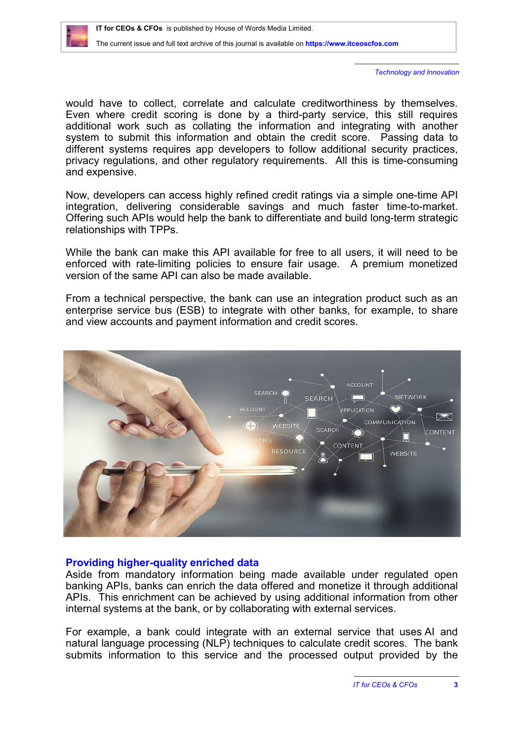*Technology and Innovation*

would have to collect, correlate and calculate creditworthiness by themselves. Even where credit scoring is done by a third-party service, this still requires additional work such as collating the information and integrating with another system to submit this information and obtain the credit score. Passing data to different systems requires app developers to follow additional security practices, privacy regulations, and other regulatory requirements. All this is time-consuming and expensive.

Now, developers can access highly refined credit ratings via a simple one-time API integration, delivering considerable savings and much faster time-to-market. Offering such APIs would help the bank to differentiate and build long-term strategic relationships with TPPs.

While the bank can make this API available for free to all users, it will need to be enforced with rate-limiting policies to ensure fair usage. A premium monetized version of the same API can also be made available.

From a technical perspective, the bank can use an integration product such as an enterprise service bus (ESB) to integrate with other banks, for example, to share and view accounts and payment information and credit scores.



### **Providing higher-quality enriched data**

Aside from mandatory information being made available under regulated open banking APIs, banks can enrich the data offered and monetize it through additional APIs. This enrichment can be achieved by using additional information from other internal systems at the bank, or by collaborating with external services.

For example, a bank could integrate with an external service that uses AI and natural language processing (NLP) techniques to calculate credit scores. The bank submits information to this service and the processed output provided by the